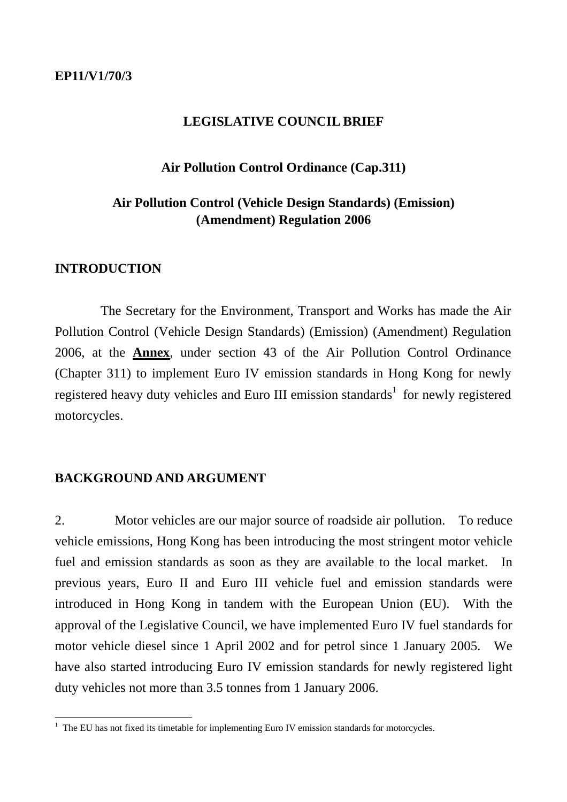#### **LEGISLATIVE COUNCIL BRIEF**

### **Air Pollution Control Ordinance (Cap.311)**

# **Air Pollution Control (Vehicle Design Standards) (Emission) (Amendment) Regulation 2006**

### **INTRODUCTION**

 The Secretary for the Environment, Transport and Works has made the Air Pollution Control (Vehicle Design Standards) (Emission) (Amendment) Regulation 2006, at the **Annex**, under section 43 of the Air Pollution Control Ordinance (Chapter 311) to implement Euro IV emission standards in Hong Kong for newly registered heavy duty vehicles and Euro III emission standards<sup>1</sup> for newly registered motorcycles.

## **BACKGROUND AND ARGUMENT**

2. Motor vehicles are our major source of roadside air pollution. To reduce vehicle emissions, Hong Kong has been introducing the most stringent motor vehicle fuel and emission standards as soon as they are available to the local market. In previous years, Euro II and Euro III vehicle fuel and emission standards were introduced in Hong Kong in tandem with the European Union (EU). With the approval of the Legislative Council, we have implemented Euro IV fuel standards for motor vehicle diesel since 1 April 2002 and for petrol since 1 January 2005. We have also started introducing Euro IV emission standards for newly registered light duty vehicles not more than 3.5 tonnes from 1 January 2006.

<sup>&</sup>lt;sup>1</sup> The EU has not fixed its timetable for implementing Euro IV emission standards for motorcycles.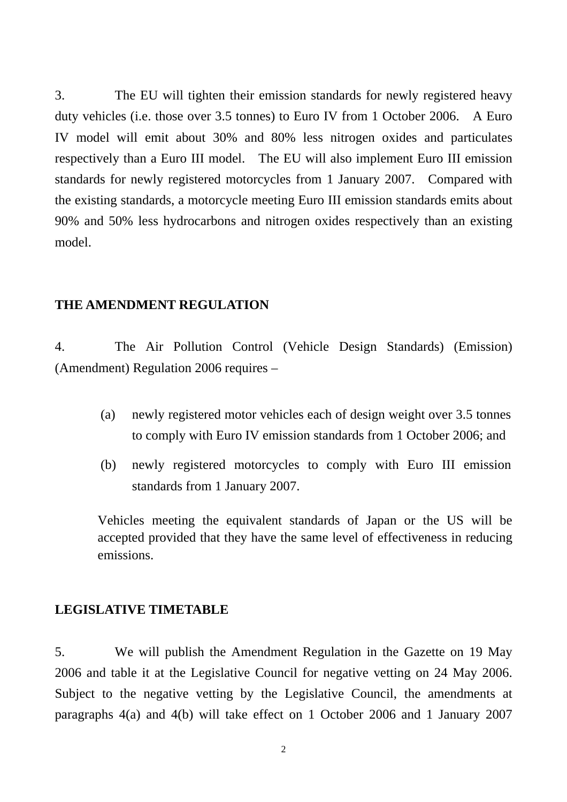3. The EU will tighten their emission standards for newly registered heavy duty vehicles (i.e. those over 3.5 tonnes) to Euro IV from 1 October 2006. A Euro IV model will emit about 30% and 80% less nitrogen oxides and particulates respectively than a Euro III model. The EU will also implement Euro III emission standards for newly registered motorcycles from 1 January 2007. Compared with the existing standards, a motorcycle meeting Euro III emission standards emits about 90% and 50% less hydrocarbons and nitrogen oxides respectively than an existing model.

### **THE AMENDMENT REGULATION**

4. The Air Pollution Control (Vehicle Design Standards) (Emission) (Amendment) Regulation 2006 requires –

- (a) newly registered motor vehicles each of design weight over 3.5 tonnes to comply with Euro IV emission standards from 1 October 2006; and
- (b) newly registered motorcycles to comply with Euro III emission standards from 1 January 2007.

Vehicles meeting the equivalent standards of Japan or the US will be accepted provided that they have the same level of effectiveness in reducing emissions.

#### **LEGISLATIVE TIMETABLE**

5. We will publish the Amendment Regulation in the Gazette on 19 May 2006 and table it at the Legislative Council for negative vetting on 24 May 2006. Subject to the negative vetting by the Legislative Council, the amendments at paragraphs 4(a) and 4(b) will take effect on 1 October 2006 and 1 January 2007

2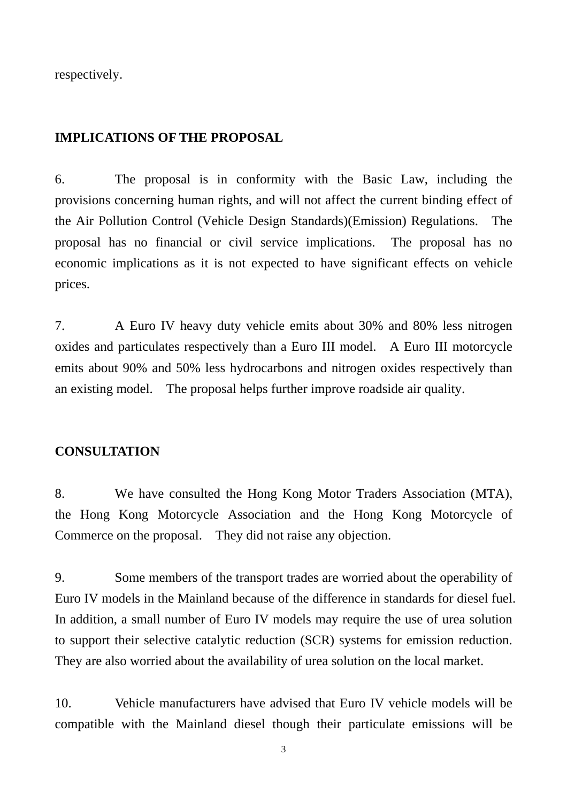respectively.

## **IMPLICATIONS OF THE PROPOSAL**

6. The proposal is in conformity with the Basic Law, including the provisions concerning human rights, and will not affect the current binding effect of the Air Pollution Control (Vehicle Design Standards)(Emission) Regulations. The proposal has no financial or civil service implications. The proposal has no economic implications as it is not expected to have significant effects on vehicle prices.

7. A Euro IV heavy duty vehicle emits about 30% and 80% less nitrogen oxides and particulates respectively than a Euro III model. A Euro III motorcycle emits about 90% and 50% less hydrocarbons and nitrogen oxides respectively than an existing model. The proposal helps further improve roadside air quality.

#### **CONSULTATION**

8. We have consulted the Hong Kong Motor Traders Association (MTA), the Hong Kong Motorcycle Association and the Hong Kong Motorcycle of Commerce on the proposal. They did not raise any objection.

9. Some members of the transport trades are worried about the operability of Euro IV models in the Mainland because of the difference in standards for diesel fuel. In addition, a small number of Euro IV models may require the use of urea solution to support their selective catalytic reduction (SCR) systems for emission reduction. They are also worried about the availability of urea solution on the local market.

10. Vehicle manufacturers have advised that Euro IV vehicle models will be compatible with the Mainland diesel though their particulate emissions will be

3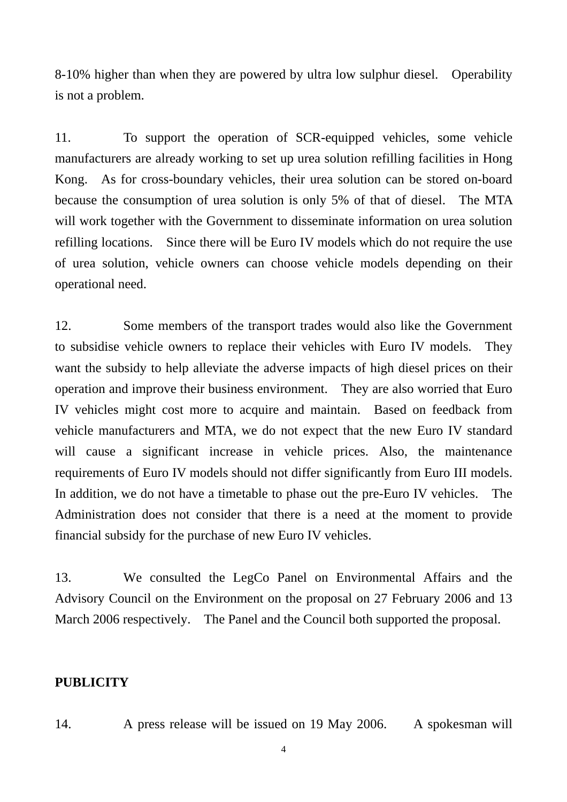8-10% higher than when they are powered by ultra low sulphur diesel. Operability is not a problem.

11. To support the operation of SCR-equipped vehicles, some vehicle manufacturers are already working to set up urea solution refilling facilities in Hong Kong. As for cross-boundary vehicles, their urea solution can be stored on-board because the consumption of urea solution is only 5% of that of diesel. The MTA will work together with the Government to disseminate information on urea solution refilling locations. Since there will be Euro IV models which do not require the use of urea solution, vehicle owners can choose vehicle models depending on their operational need.

12. Some members of the transport trades would also like the Government to subsidise vehicle owners to replace their vehicles with Euro IV models. They want the subsidy to help alleviate the adverse impacts of high diesel prices on their operation and improve their business environment. They are also worried that Euro IV vehicles might cost more to acquire and maintain. Based on feedback from vehicle manufacturers and MTA, we do not expect that the new Euro IV standard will cause a significant increase in vehicle prices. Also, the maintenance requirements of Euro IV models should not differ significantly from Euro III models. In addition, we do not have a timetable to phase out the pre-Euro IV vehicles. The Administration does not consider that there is a need at the moment to provide financial subsidy for the purchase of new Euro IV vehicles.

13. We consulted the LegCo Panel on Environmental Affairs and the Advisory Council on the Environment on the proposal on 27 February 2006 and 13 March 2006 respectively. The Panel and the Council both supported the proposal.

### **PUBLICITY**

14. A press release will be issued on 19 May 2006. A spokesman will

4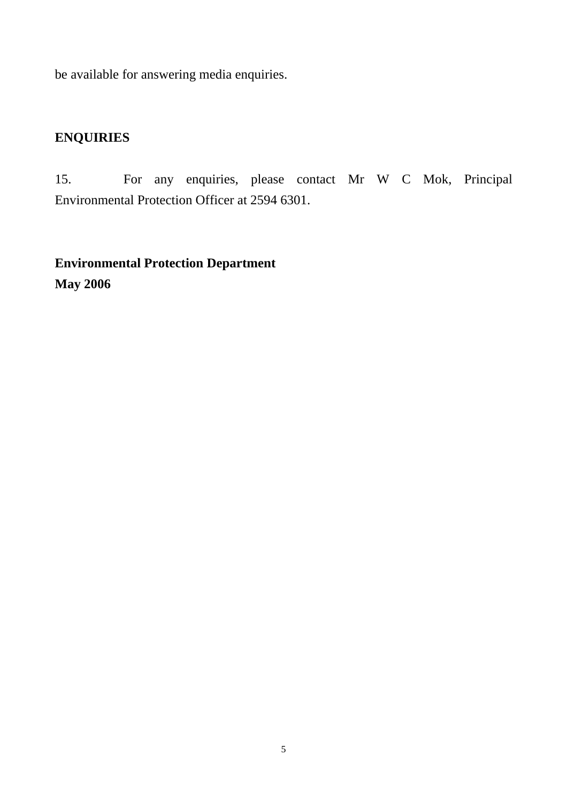be available for answering media enquiries.

# **ENQUIRIES**

15. For any enquiries, please contact Mr W C Mok, Principal Environmental Protection Officer at 2594 6301.

**Environmental Protection Department May 2006**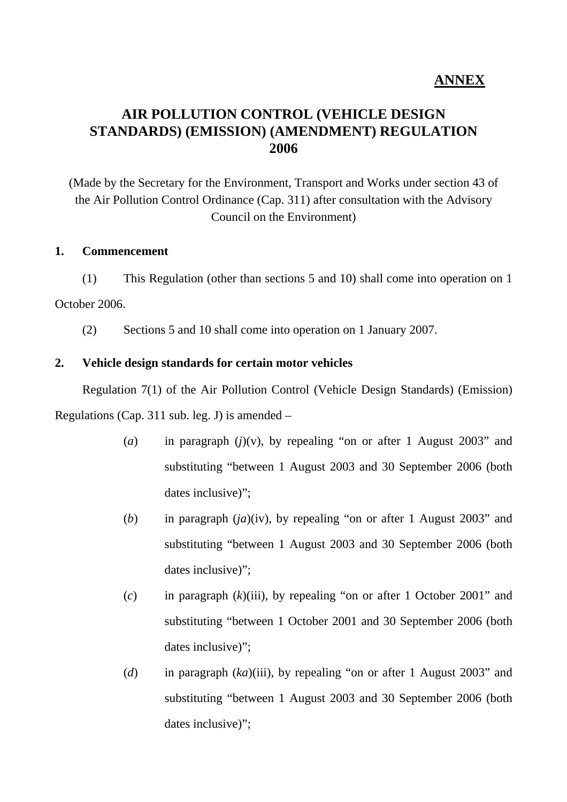# **ANNEX**

# **AIR POLLUTION CONTROL (VEHICLE DESIGN STANDARDS) (EMISSION) (AMENDMENT) REGULATION 2006**

(Made by the Secretary for the Environment, Transport and Works under section 43 of the Air Pollution Control Ordinance (Cap. 311) after consultation with the Advisory Council on the Environment)

#### **1. Commencement**

(1) This Regulation (other than sections 5 and 10) shall come into operation on 1 October 2006.

(2) Sections 5 and 10 shall come into operation on 1 January 2007.

#### **2. Vehicle design standards for certain motor vehicles**

Regulation 7(1) of the Air Pollution Control (Vehicle Design Standards) (Emission) Regulations (Cap. 311 sub. leg. J) is amended –

- (*a*) in paragraph (*j*)(v), by repealing "on or after 1 August 2003" and substituting "between 1 August 2003 and 30 September 2006 (both dates inclusive)";
- (*b*) in paragraph (*ja*)(iv), by repealing "on or after 1 August 2003" and substituting "between 1 August 2003 and 30 September 2006 (both dates inclusive)";
- (*c*) in paragraph (*k*)(iii), by repealing "on or after 1 October 2001" and substituting "between 1 October 2001 and 30 September 2006 (both dates inclusive)";
- (*d*) in paragraph (*ka*)(iii), by repealing "on or after 1 August 2003" and substituting "between 1 August 2003 and 30 September 2006 (both dates inclusive)":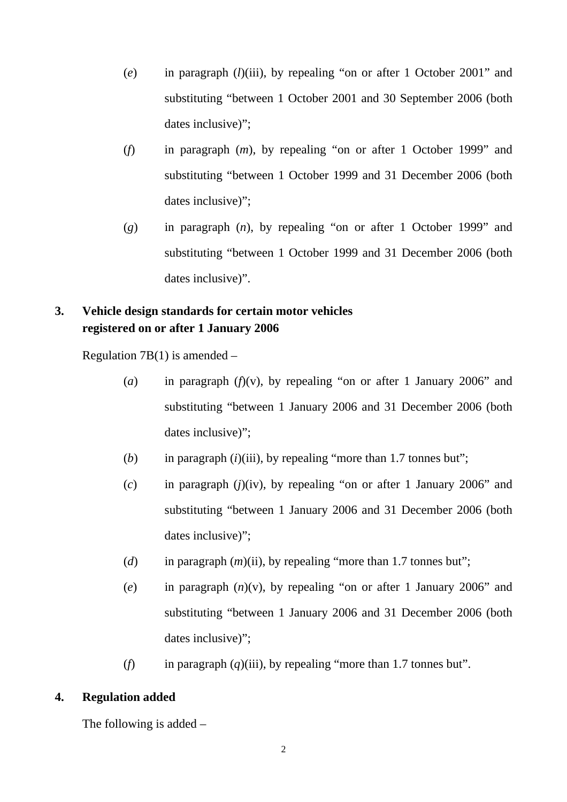- (*e*) in paragraph (*l*)(iii), by repealing "on or after 1 October 2001" and substituting "between 1 October 2001 and 30 September 2006 (both dates inclusive)":
- (*f*) in paragraph (*m*), by repealing "on or after 1 October 1999" and substituting "between 1 October 1999 and 31 December 2006 (both dates inclusive)";
- (*g*) in paragraph (*n*), by repealing "on or after 1 October 1999" and substituting "between 1 October 1999 and 31 December 2006 (both dates inclusive)".

# **3. Vehicle design standards for certain motor vehicles registered on or after 1 January 2006**

Regulation 7B(1) is amended  $-$ 

- (*a*) in paragraph ( $f(x)$ , by repealing "on or after 1 January 2006" and substituting "between 1 January 2006 and 31 December 2006 (both dates inclusive)";
- (*b*) in paragraph (*i*)(iii), by repealing "more than 1.7 tonnes but";
- (*c*) in paragraph (*j*)(iv), by repealing "on or after 1 January 2006" and substituting "between 1 January 2006 and 31 December 2006 (both dates inclusive)";
- (*d*) in paragraph (*m*)(ii), by repealing "more than 1.7 tonnes but";
- (*e*) in paragraph (*n*)(v), by repealing "on or after 1 January 2006" and substituting "between 1 January 2006 and 31 December 2006 (both dates inclusive)";
- (*f*) in paragraph (*q*)(iii), by repealing "more than 1.7 tonnes but".

# **4. Regulation added**

The following is added –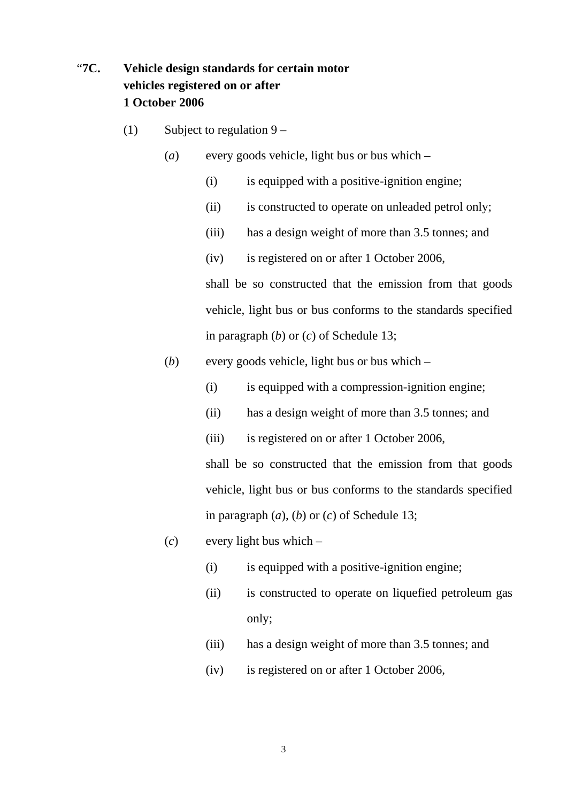# "**7C. Vehicle design standards for certain motor vehicles registered on or after 1 October 2006**

- (1) Subject to regulation  $9 -$ 
	- (*a*) every goods vehicle, light bus or bus which
		- (i) is equipped with a positive-ignition engine;
		- (ii) is constructed to operate on unleaded petrol only;
		- (iii) has a design weight of more than 3.5 tonnes; and
		- (iv) is registered on or after 1 October 2006,

shall be so constructed that the emission from that goods vehicle, light bus or bus conforms to the standards specified in paragraph (*b*) or (*c*) of Schedule 13;

- (*b*) every goods vehicle, light bus or bus which
	- (i) is equipped with a compression-ignition engine;
	- (ii) has a design weight of more than 3.5 tonnes; and
	- (iii) is registered on or after 1 October 2006,

shall be so constructed that the emission from that goods vehicle, light bus or bus conforms to the standards specified in paragraph (*a*), (*b*) or (*c*) of Schedule 13;

- (*c*) every light bus which
	- (i) is equipped with a positive-ignition engine;
	- (ii) is constructed to operate on liquefied petroleum gas only;
	- (iii) has a design weight of more than 3.5 tonnes; and
	- (iv) is registered on or after 1 October 2006,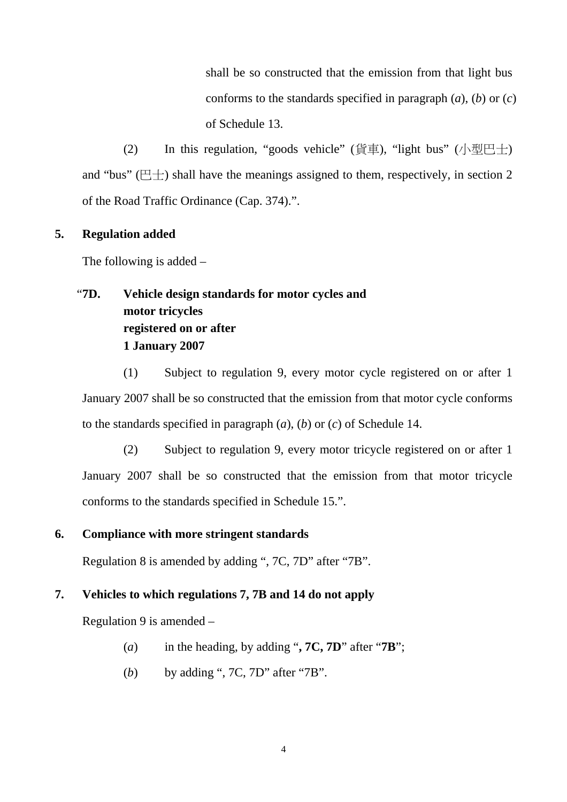shall be so constructed that the emission from that light bus conforms to the standards specified in paragraph (*a*), (*b*) or (*c*) of Schedule 13.

(2) In this regulation, "goods vehicle" (貨車), "light bus" (小型巴士) and "bus" ( $\Box$ ) shall have the meanings assigned to them, respectively, in section 2 of the Road Traffic Ordinance (Cap. 374).".

### **5. Regulation added**

The following is added –

# "**7D. Vehicle design standards for motor cycles and motor tricycles registered on or after 1 January 2007**

(1) Subject to regulation 9, every motor cycle registered on or after 1 January 2007 shall be so constructed that the emission from that motor cycle conforms to the standards specified in paragraph (*a*), (*b*) or (*c*) of Schedule 14.

(2) Subject to regulation 9, every motor tricycle registered on or after 1 January 2007 shall be so constructed that the emission from that motor tricycle conforms to the standards specified in Schedule 15.".

### **6. Compliance with more stringent standards**

Regulation 8 is amended by adding ", 7C, 7D" after "7B".

### **7. Vehicles to which regulations 7, 7B and 14 do not apply**

Regulation 9 is amended –

- (*a*) in the heading, by adding "**, 7C, 7D**" after "**7B**";
- (*b*) by adding ", 7C, 7D" after "7B".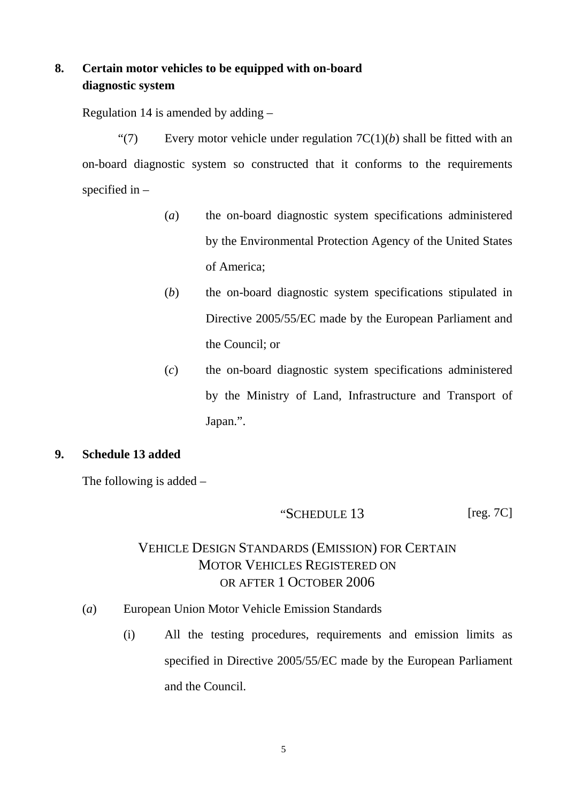# **8. Certain motor vehicles to be equipped with on-board diagnostic system**

Regulation 14 is amended by adding –

"(7) Every motor vehicle under regulation  $TC(1)(b)$  shall be fitted with an on-board diagnostic system so constructed that it conforms to the requirements specified in  $-$ 

- (*a*) the on-board diagnostic system specifications administered by the Environmental Protection Agency of the United States of America;
- (*b*) the on-board diagnostic system specifications stipulated in Directive 2005/55/EC made by the European Parliament and the Council; or
- (*c*) the on-board diagnostic system specifications administered by the Ministry of Land, Infrastructure and Transport of Japan.".

### **9. Schedule 13 added**

The following is added –

# "SCHEDULE 13 [reg. 7C]

# VEHICLE DESIGN STANDARDS (EMISSION) FOR CERTAIN MOTOR VEHICLES REGISTERED ON OR AFTER 1 OCTOBER 2006

- (*a*) European Union Motor Vehicle Emission Standards
	- (i) All the testing procedures, requirements and emission limits as specified in Directive 2005/55/EC made by the European Parliament and the Council.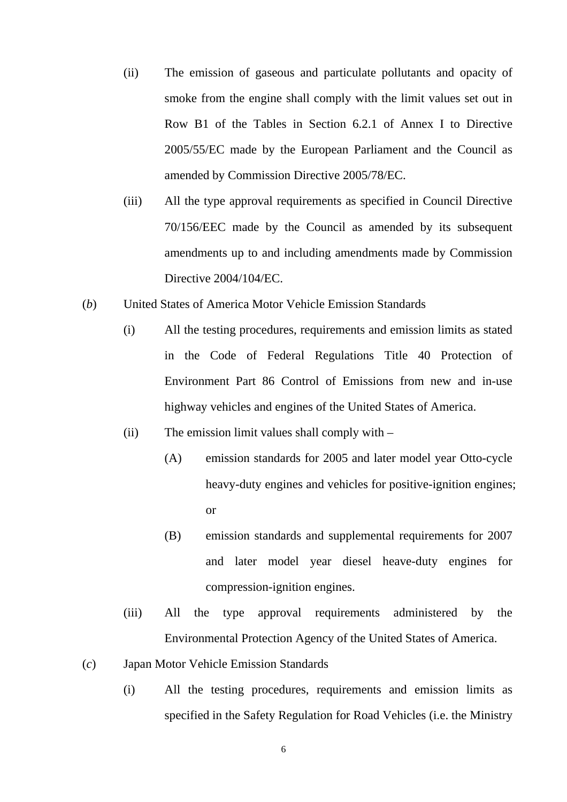- (ii) The emission of gaseous and particulate pollutants and opacity of smoke from the engine shall comply with the limit values set out in Row B1 of the Tables in Section 6.2.1 of Annex I to Directive 2005/55/EC made by the European Parliament and the Council as amended by Commission Directive 2005/78/EC.
- (iii) All the type approval requirements as specified in Council Directive 70/156/EEC made by the Council as amended by its subsequent amendments up to and including amendments made by Commission Directive 2004/104/EC.
- (*b*) United States of America Motor Vehicle Emission Standards
	- (i) All the testing procedures, requirements and emission limits as stated in the Code of Federal Regulations Title 40 Protection of Environment Part 86 Control of Emissions from new and in-use highway vehicles and engines of the United States of America.
	- (ii) The emission limit values shall comply with
		- (A) emission standards for 2005 and later model year Otto-cycle heavy-duty engines and vehicles for positive-ignition engines; or
		- (B) emission standards and supplemental requirements for 2007 and later model year diesel heave-duty engines for compression-ignition engines.
	- (iii) All the type approval requirements administered by the Environmental Protection Agency of the United States of America.
- (*c*) Japan Motor Vehicle Emission Standards
	- (i) All the testing procedures, requirements and emission limits as specified in the Safety Regulation for Road Vehicles (i.e. the Ministry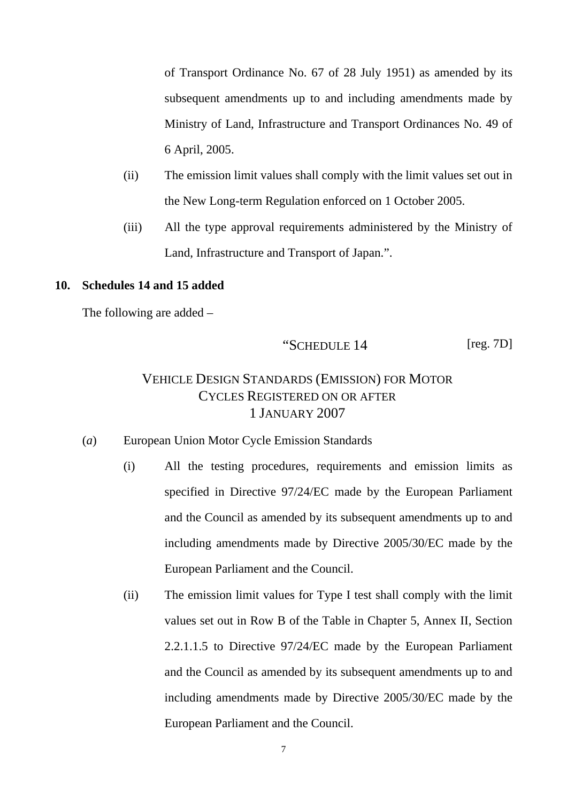of Transport Ordinance No. 67 of 28 July 1951) as amended by its subsequent amendments up to and including amendments made by Ministry of Land, Infrastructure and Transport Ordinances No. 49 of 6 April, 2005.

- (ii) The emission limit values shall comply with the limit values set out in the New Long-term Regulation enforced on 1 October 2005.
- (iii) All the type approval requirements administered by the Ministry of Land, Infrastructure and Transport of Japan.".

#### **10. Schedules 14 and 15 added**

The following are added –

$$
\text{``SCHEDULE 14} \qquad \qquad \text{[reg. 7D]}
$$

# VEHICLE DESIGN STANDARDS (EMISSION) FOR MOTOR CYCLES REGISTERED ON OR AFTER 1 JANUARY 2007

- (*a*) European Union Motor Cycle Emission Standards
	- (i) All the testing procedures, requirements and emission limits as specified in Directive 97/24/EC made by the European Parliament and the Council as amended by its subsequent amendments up to and including amendments made by Directive 2005/30/EC made by the European Parliament and the Council.
	- (ii) The emission limit values for Type I test shall comply with the limit values set out in Row B of the Table in Chapter 5, Annex II, Section 2.2.1.1.5 to Directive 97/24/EC made by the European Parliament and the Council as amended by its subsequent amendments up to and including amendments made by Directive 2005/30/EC made by the European Parliament and the Council.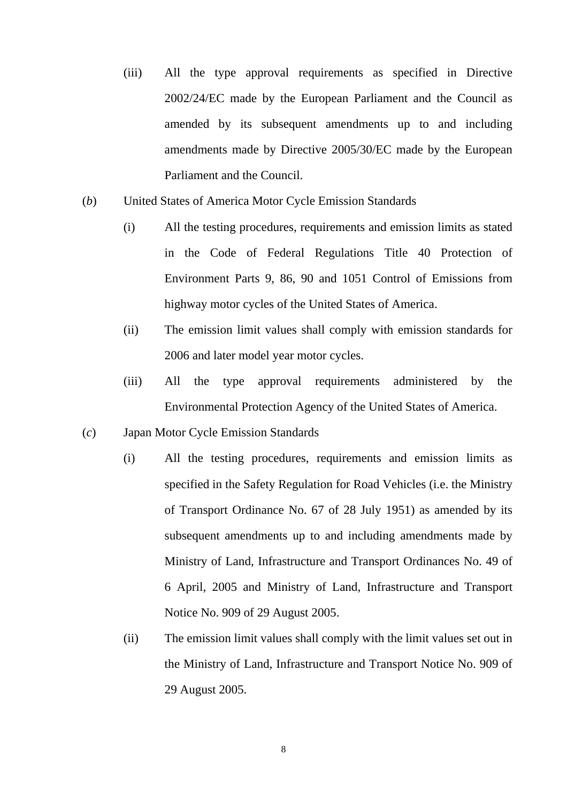- (iii) All the type approval requirements as specified in Directive 2002/24/EC made by the European Parliament and the Council as amended by its subsequent amendments up to and including amendments made by Directive 2005/30/EC made by the European Parliament and the Council.
- (*b*) United States of America Motor Cycle Emission Standards
	- (i) All the testing procedures, requirements and emission limits as stated in the Code of Federal Regulations Title 40 Protection of Environment Parts 9, 86, 90 and 1051 Control of Emissions from highway motor cycles of the United States of America.
	- (ii) The emission limit values shall comply with emission standards for 2006 and later model year motor cycles.
	- (iii) All the type approval requirements administered by the Environmental Protection Agency of the United States of America.
- (*c*) Japan Motor Cycle Emission Standards
	- (i) All the testing procedures, requirements and emission limits as specified in the Safety Regulation for Road Vehicles (i.e. the Ministry of Transport Ordinance No. 67 of 28 July 1951) as amended by its subsequent amendments up to and including amendments made by Ministry of Land, Infrastructure and Transport Ordinances No. 49 of 6 April, 2005 and Ministry of Land, Infrastructure and Transport Notice No. 909 of 29 August 2005.
	- (ii) The emission limit values shall comply with the limit values set out in the Ministry of Land, Infrastructure and Transport Notice No. 909 of 29 August 2005.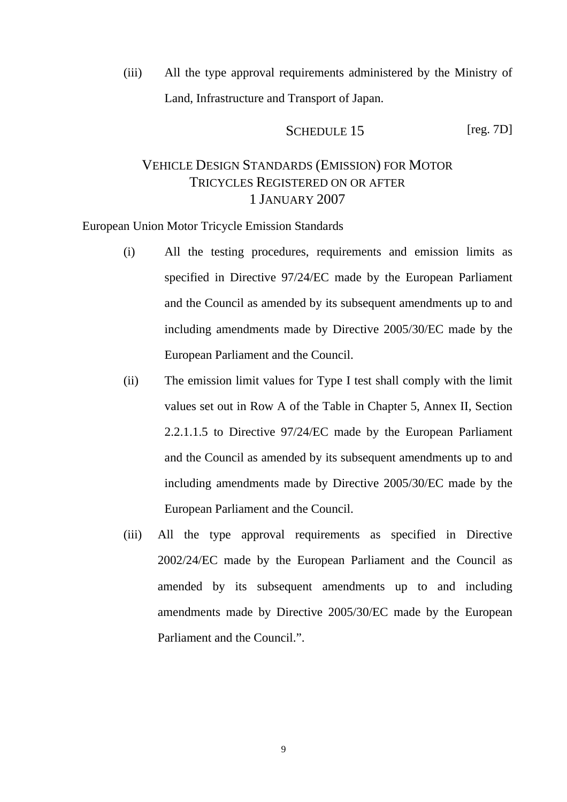(iii) All the type approval requirements administered by the Ministry of Land, Infrastructure and Transport of Japan.

SCHEDULE 15 [reg. 7D]

# VEHICLE DESIGN STANDARDS (EMISSION) FOR MOTOR TRICYCLES REGISTERED ON OR AFTER 1 JANUARY 2007

European Union Motor Tricycle Emission Standards

- (i) All the testing procedures, requirements and emission limits as specified in Directive 97/24/EC made by the European Parliament and the Council as amended by its subsequent amendments up to and including amendments made by Directive 2005/30/EC made by the European Parliament and the Council.
- (ii) The emission limit values for Type I test shall comply with the limit values set out in Row A of the Table in Chapter 5, Annex II, Section 2.2.1.1.5 to Directive 97/24/EC made by the European Parliament and the Council as amended by its subsequent amendments up to and including amendments made by Directive 2005/30/EC made by the European Parliament and the Council.
- (iii) All the type approval requirements as specified in Directive 2002/24/EC made by the European Parliament and the Council as amended by its subsequent amendments up to and including amendments made by Directive 2005/30/EC made by the European Parliament and the Council.".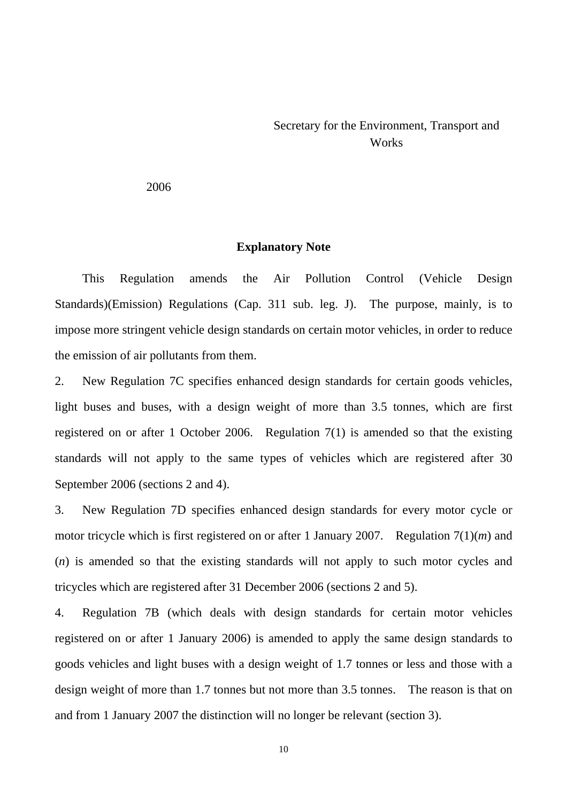## Secretary for the Environment, Transport and **Works**

2006

#### **Explanatory Note**

This Regulation amends the Air Pollution Control (Vehicle Design Standards)(Emission) Regulations (Cap. 311 sub. leg. J). The purpose, mainly, is to impose more stringent vehicle design standards on certain motor vehicles, in order to reduce the emission of air pollutants from them.

2. New Regulation 7C specifies enhanced design standards for certain goods vehicles, light buses and buses, with a design weight of more than 3.5 tonnes, which are first registered on or after 1 October 2006. Regulation 7(1) is amended so that the existing standards will not apply to the same types of vehicles which are registered after 30 September 2006 (sections 2 and 4).

3. New Regulation 7D specifies enhanced design standards for every motor cycle or motor tricycle which is first registered on or after 1 January 2007. Regulation 7(1)(*m*) and (*n*) is amended so that the existing standards will not apply to such motor cycles and tricycles which are registered after 31 December 2006 (sections 2 and 5).

4. Regulation 7B (which deals with design standards for certain motor vehicles registered on or after 1 January 2006) is amended to apply the same design standards to goods vehicles and light buses with a design weight of 1.7 tonnes or less and those with a design weight of more than 1.7 tonnes but not more than 3.5 tonnes. The reason is that on and from 1 January 2007 the distinction will no longer be relevant (section 3).